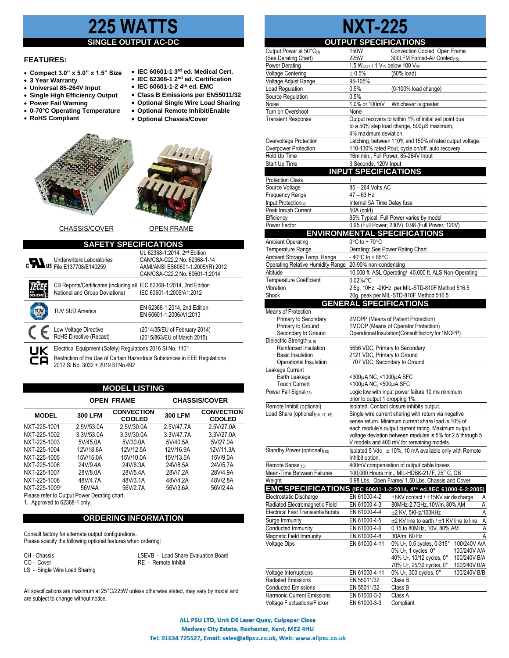## **225 WATTS**

#### **SINGLE OUTPUT**

### **FEATURES:**

- **Compact 3.0" x 5.0" x 1.5" Size**
- **3 Year Warranty**
- **Universal 85-264V Input**
- **Single High Efficiency Output**
- **Power Fail Warning**
- **0-70°C Operating Temperature**
- **RoHS Compliant**
- **IEC 60601-1-2 4th ed. EMC** • **Class B Emissions per EN55011/32**
- **Optional Single Wire Load Sharing**

• **IEC 60601-1 3 rd ed. Medical Cert.** • **IEC 62368-1 2 nd ed. Certification**

- **Optional Remote Inhibit/Enable**
	- **Optional Chassis/Cover**



|          | <b>Underwriters Laboratories</b><br>C <b>WAS File E137708/E140259</b>                                  | UL 62368-1:2014. 2nd Edition<br>CAN/CSA-C22.2 No. 62368-1-14<br>AAMI/ANSI ES60601-1:2005/(R) 2012<br>CAN/CSA-C22.2 No. 60601-1:2014 |
|----------|--------------------------------------------------------------------------------------------------------|-------------------------------------------------------------------------------------------------------------------------------------|
|          | CB Reports/Certificates (including all IEC 62368-1:2014, 2nd Edition<br>National and Group Deviations) | IEC 60601-1:2005/A1:2012                                                                                                            |
| π'Λ      | <b>TUV SUD America</b>                                                                                 | EN 62368-1:2014, 2nd Edition<br>EN 60601-1:2006/A1:2013                                                                             |
|          | Low Voltage Directive<br>RoHS Directive (Recast)                                                       | (2014/35/EU of February 2014)<br>(2015/863/EU of March 2015)                                                                        |
| UK<br>CA | Electrical Equipment (Safety) Regulations 2016 SI No. 1101<br>2012 SI No. 3032 + 2019 SI No.492        | Restriction of the Use of Certain Hazardous Substances in EEE Regulations                                                           |

#### **MODEL LISTING**

|                                              |                | <b>OPEN FRAME</b>                  |                | <b>CHASSIS/COVER</b>               |
|----------------------------------------------|----------------|------------------------------------|----------------|------------------------------------|
| <b>MODEL</b>                                 | <b>300 LFM</b> | <b>CONVECTION</b><br><b>COOLED</b> | <b>300 LFM</b> | <b>CONVECTION</b><br><b>COOLED</b> |
| NXT-225-1001                                 | 2.5V/53.0A     | 2.5V/30.0A                         | 2.5V/47.7A     | 2 5V/27 0A                         |
| NXT-225-1002                                 | 3.3V/53.0A     | 3.3V/30.0A                         | 3.3V/47.7A     | 3.3V/27.0A                         |
| NXT-225-1003                                 | 5V/45.0A       | 5V/30.0A                           | 5V/40.5A       | 5V/27.0A                           |
| NXT-225-1004                                 | 12V/18.8A      | 12V/12.5A                          | 12V/16.9A      | 12V/11.3A                          |
| NXT-225-1005                                 | 15V/15.0A      | 15V/10.0A                          | 15V/13.5A      | 15V/9.0A                           |
| NXT-225-1006                                 | 24V/9.4A       | 24V/6.3A                           | 24V/8.5A       | 24V/5.7A                           |
| NXT-225-1007                                 | 28V/8.0A       | 28V/5.4A                           | 28V/7.2A       | 28V/4.9A                           |
| NXT-225-1008                                 | 48V/4.7A       | 48V/3.1A                           | 48V/4.2A       | 48V/2.8A                           |
| NXT-225-10091                                | 56V/4A         | 56V/2.7A                           | 56V/3.6A       | 56V/2.4A                           |
| Please refer to Output Power Derating chart. |                |                                    |                |                                    |

1. Approved to 62368-1 only.

LS - Single Wire Load Sharing

#### **ORDERING INFORMATION**

Consult factory for alternate output configurations. Please specify the following optional features when ordering:

CH - Chassis LSEVB - Load Share Evaluation Board

CO - Cover RE - Remote Inhibit

All specifications are maximum at 25°C/225W unless otherwise stated, may vary by model and are subject to change without notice.

# **NXT-225**

|                                                                   | <b>OUTPUT SPECIFICATIONS</b>                         |                                                                                                        |
|-------------------------------------------------------------------|------------------------------------------------------|--------------------------------------------------------------------------------------------------------|
| Output Power at 50°C(1)                                           | 150W                                                 | Convection Cooled, Open Frame                                                                          |
| (See Derating Chart)                                              | 225W                                                 | 300LFM Forced-Air Cooled(15)                                                                           |
| Power Derating                                                    | 1.5 WOUT / 1 VIN below 100 VIN                       |                                                                                                        |
| <b>Voltage Centering</b>                                          | $\pm 0.5%$<br>95-105%                                | (50% load)                                                                                             |
| Voltage Adjust Range<br><b>Load Regulation</b>                    | 0.5%                                                 | (0-100% load change)                                                                                   |
| Source Regulation                                                 | 0.5%                                                 |                                                                                                        |
| Noise                                                             | 1.0% or 100mV                                        | Whichever is greater                                                                                   |
| Turn on Overshoot                                                 | None                                                 |                                                                                                        |
| <b>Transient Response</b>                                         |                                                      | Output recovers to within 1% of initial set point due                                                  |
|                                                                   |                                                      | to a 50% step load change, 500µS maximum,                                                              |
|                                                                   | 4% maximum deviation.                                |                                                                                                        |
| Overvoltage Protection                                            |                                                      | Latching, between 110% and 150% of rated output voltage.                                               |
| Overpower Protection                                              |                                                      | 110-130% rated Pout, cycle on/off, auto recovery                                                       |
| Hold Up Time                                                      |                                                      | 16m min., Full Power, 85-264V Input                                                                    |
| Start Up Time                                                     | 3 Seconds, 120V Input<br><b>INPUT SPECIFICATIONS</b> |                                                                                                        |
|                                                                   |                                                      |                                                                                                        |
| <b>Protection Class</b><br>Source Voltage                         | 85 - 264 Volts AC                                    |                                                                                                        |
| Frequency Range                                                   | 47 - 63 Hz                                           |                                                                                                        |
| Input Protection(6)                                               | Internal 5A Time Delay fuse                          |                                                                                                        |
| Peak Inrush Current                                               | 50A (cold)                                           |                                                                                                        |
| Efficiency                                                        |                                                      | 85% Typical, Full Power varies by model                                                                |
| Power Factor                                                      |                                                      | 0.95 (Full Power, 230V), 0.98 (Full Power, 120V)                                                       |
|                                                                   |                                                      | <b>ENVIRONMENTAL SPECIFICATIONS</b>                                                                    |
| <b>Ambient Operating</b>                                          | $0^{\circ}$ C to + 70 $^{\circ}$ C                   |                                                                                                        |
| Temperature Range                                                 | Derating: See Power Rating Chart                     |                                                                                                        |
| Ambient Storage Temp. Range                                       | -40 $\degree$ C to +85 $\degree$ C                   |                                                                                                        |
| Operating Relative Humidity Range                                 | 20-90% non-condensing                                |                                                                                                        |
| Altitude                                                          |                                                      | 10,000 ft. ASL Operating/ 40,000 ft. ALS Non-Operating                                                 |
| <b>Temperature Coefficient</b>                                    | 0.02%/°C                                             |                                                                                                        |
| Vibration                                                         |                                                      | 2.5g, 10Hz. - 2KHz per MIL-STD-810F Method 516.5                                                       |
| Shock                                                             |                                                      | 20g, peak per MIL-STD-810F Method 516.5                                                                |
|                                                                   | <b>GENERAL SPECIFICATIONS</b>                        |                                                                                                        |
| Means of Protection<br>Primary to Secondary                       |                                                      | 2MOPP (Means of Patient Protection)                                                                    |
| Primary to Ground                                                 |                                                      | 1MOOP (Means of Operator Protection)                                                                   |
| Secondary to Ground                                               |                                                      | Operational Insulation(Consult factory for 1MOPP)                                                      |
| Dielectric Strength(8, 9)                                         |                                                      |                                                                                                        |
| Reinforced Insulation                                             | 5656 VDC, Primary to Secondary                       |                                                                                                        |
| <b>Basic Insulation</b>                                           | 2121 VDC, Primary to Ground                          |                                                                                                        |
| Operational Insulation                                            | 707 VDC, Secondary to Ground                         |                                                                                                        |
| Leakage Current<br>Earth Leakage                                  | <300µA NC, <1000µA SFC                               |                                                                                                        |
| <b>Touch Current</b>                                              | <100µA NC, <500µA SFC                                |                                                                                                        |
| Power Fail Signal(14)                                             |                                                      | Logic low with input power failure 10 ms minimum                                                       |
|                                                                   | prior to output 1 dropping 1%.                       |                                                                                                        |
| Remote Inhibit (optional)                                         |                                                      | Isolated. Contact closure inhibits output.                                                             |
| Load Share (optional) $(16, 17, 18)$                              |                                                      | Single wire current sharing with return via negative                                                   |
|                                                                   |                                                      | sense return. Minimum current share load is 10% of                                                     |
|                                                                   |                                                      | each module's output current rating. Maximum output                                                    |
|                                                                   |                                                      | voltage deviation between modules is 5% for 2.5 through 5<br>V models and 400 mV for remaining models. |
| Standby Power (optional)(19)                                      |                                                      | Isolated 5 Vdc $\pm$ 10%, 10 mA available only with Remote                                             |
|                                                                   | Inhibit option.                                      |                                                                                                        |
| Remote Sense(10)                                                  |                                                      | 400mV compensation of output cable losses                                                              |
| Mean-Time Between Failures                                        |                                                      | 100,000 Hours min., MIL-HDBK-217F, 25° C, GB                                                           |
| Weight                                                            |                                                      | 0.98 Lbs. Open Frame/ 1.50 Lbs. Chassis and Cover                                                      |
|                                                                   |                                                      | EMC SPECIFICATIONS (IEC 60601-1-2:2014, 4TH ed./IEC 61000-6-2:2005)                                    |
| Electrostatic Discharge                                           | EN 61000-4-2                                         | ±8KV contact / ±15KV air discharge<br>Α                                                                |
| Radiated Electromagnetic Field                                    | EN 61000-4-3                                         | Ā<br>80MHz-2.7GHz, 10V/m, 80% AM                                                                       |
| <b>Electrical Fast Transients/Bursts</b>                          | EN 61000-4-4                                         | $\overline{A}$<br>$\pm$ 2 KV, 5KHz/100KHz                                                              |
| Surge Immunity                                                    | EN 61000-4-5                                         | Ā<br>±2 KV line to earth / ±1 KV line to line                                                          |
| Conducted Immunity                                                | EN 61000-4-6                                         | A<br>0.15 to 80MHz, 10V, 80% AM                                                                        |
| Magnetic Field Immunity                                           | EN 61000-4-8                                         | 30A/m, 60 Hz.<br>Α                                                                                     |
| <b>Voltage Dips</b>                                               | EN 61000-4-11                                        | $0\%$ U <sub>T</sub> , 0.5 cycles, 0-315°<br>100/240V A/A<br>100/240V A/A                              |
|                                                                   |                                                      | $0\%$ U <sub>T</sub> , 1 cycles, $0^{\circ}$<br>40% U <sub>T</sub> , 10/12 cycles, 0°<br>100/240V B/A  |
|                                                                   |                                                      | 70% U <sub>T</sub> , 25/30 cycles, 0°<br>100/240V B/A                                                  |
| Voltage Interruptions                                             |                                                      | 0% U <sub>T</sub> , 300 cycles, 0°                                                                     |
|                                                                   | EN 61000-4-11                                        | 100/240V B/B                                                                                           |
| Radiated Emissions                                                | EN 55011/32                                          | Class B                                                                                                |
| <b>Conducted Emissions</b>                                        | EN 55011/32                                          | Class B                                                                                                |
| <b>Harmonic Current Emissions</b><br>Voltage Fluctuations/Flicker | EN 61000-3-2<br>EN 61000-3-3                         | Class A<br>Compliant                                                                                   |

ALL PSU LTD, Unit D6 Laser Quay, Culpeper Close Medway City Estate, Rochester, Kent, ME2 4HU Tel: 01634 725527, Email: sales@allpsu.co.uk, Web: www.allpsu.co.uk